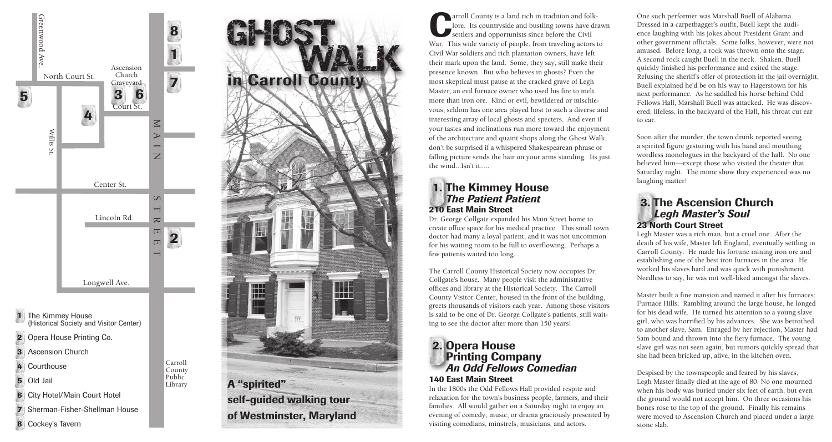



arroll County is a land rich in tradition and folk-<br>lore. Its countryside and bustling towns have drastice<br>settlers and opportunists since before the Civil<br>Way, This wide variaty of poople, from traveling actors to lore. Its countryside and bustling towns have drawn War. This wide variety of people, from traveling actors to Civil War soldiers and rich plantation owners, have left their mark upon the land. Some, they say, still make their presence known. But who believes in ghosts? Even the most skeptical must pause at the cracked grave of Legh Master, an evil furnace owner who used his fire to melt more than iron ore. Kind or evil, bewildered or mischievous, seldom has one area played host to such a diverse and interesting array of local ghosts and specters. And even if your tastes and inclinations run more toward the enjoyment of the architecture and quaint shops along the Ghost Walk, don't be surprised if a whispered Shakespearean phrase or falling picture sends the hair on your arms standing. Its just the wind...Isn't it.....

## 1. The Kimmey House  *The Patient Patient* 210 East Main Street

Dr. George Collgate expanded his Main Street home to create office space for his medical practice. This small town doctor had many a loyal patient, and it was not uncommon for his waiting room to be full to overflowing. Perhaps a few patients waited too long....

The Carroll County Historical Society now occupies Dr. Collgate's house. Many people visit the administrative offices and library at the Historical Society. The Carroll County Visitor Center, housed in the front of the building, greets thousands of visitors each year. Among those visitors is said to be one of Dr. George Collgate's patients, still waiting to see the doctor after more than 150 years!

### 2. Opera House **Printing Company**  *An Odd Fellows Comedian* 140 East Main Street

In the 1800s the Odd Fellows Hall provided respite and relaxation for the town's business people, farmers, and their families. All would gather on a Saturday night to enjoy an evening of comedy, music, or drama graciously presented by visiting comedians, minstrels, musicians, and actors.

One such performer was Marshall Buell of Alabama. Dressed in a carpetbagger's outfit, Buell kept the audience laughing with his jokes about President Grant and other government officials. Some folks, however, were not amused. Before long, a rock was thrown onto the stage. A second rock caught Buell in the neck. Shaken, Buell quickly finished his performance and exited the stage. Refusing the sheriff's offer of protection in the jail overnight, Buell explained he'd be on his way to Hagerstown for his next performance. As he saddled his horse behind Odd Fellows Hall, Marshall Buell was attacked. He was discovered, lifeless, in the backyard of the Hall, his throat cut ear

to ear.



Soon after the murder, the town drunk reported seeing a spirited figure gesturing with his hand and mouthing wordless monologues in the backyard of the hall. No one believed him—except those who visited the theater that Saturday night. The mime show they experienced was no laughing matter!

### 3. The Ascension Church  *Legh Master's Soul* 23 North Court Street

Legh Master was a rich man, but a cruel one. After the death of his wife, Master left England, eventually settling in Carroll County. He made his fortune mining iron ore and establishing one of the best iron furnaces in the area. He worked his slaves hard and was quick with punishment. Needless to say, he was not well-liked amongst the slaves.

Master built a fine mansion and named it after his furnaces: Furnace Hills. Rambling around the large house, he longed for his dead wife. He turned his attention to a young slave girl, who was horrified by his advances. She was betrothed to another slave, Sam. Enraged by her rejection, Master had Sam bound and thrown into the fiery furnace. The young slave girl was not seen again, but rumors quickly spread that she had been bricked up, alive, in the kitchen oven.

Despised by the townspeople and feared by his slaves, Legh Master finally died at the age of 80. No one mourned when his body was buried under six feet of earth, but even the ground would not accept him. On three occasions his bones rose to the top of the ground. Finally his remains were moved to Ascension Church and placed under a large stone slab.